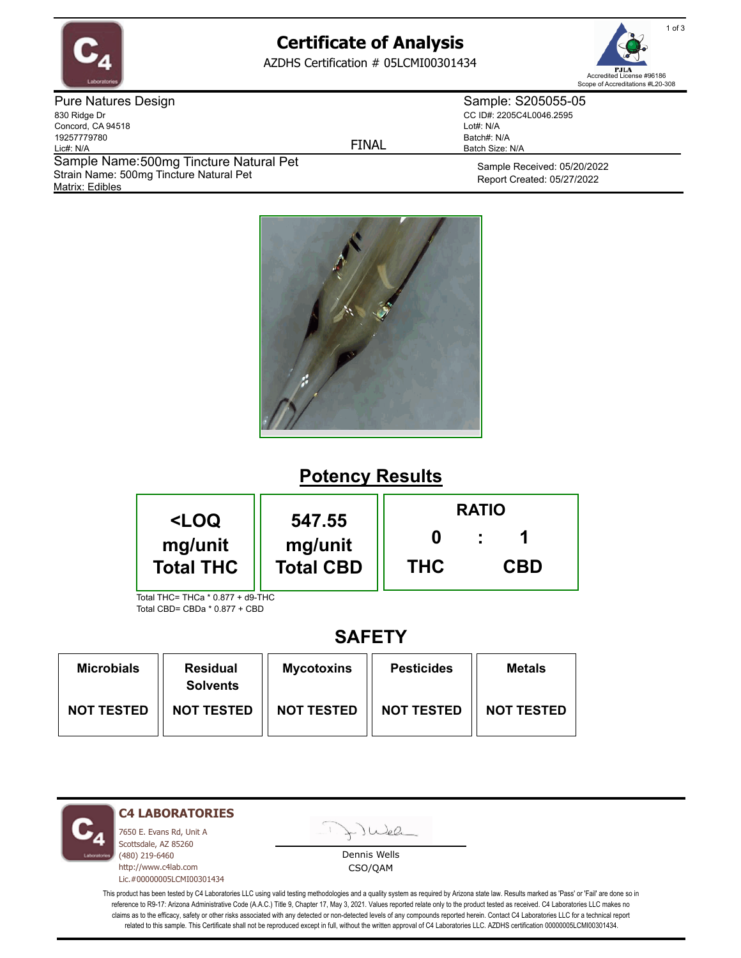

# **Certificate of Analysis**

AZDHS Certification # 05LCMI00301434



Pure Natures Design 830 Ridge Dr Concord, CA 94518 19257779780 Lic#: N/A Matrix: Edibles Sample Name: 500mg Tincture Natural Pet Strain Name: 500mg Tincture Natural Pet

FINAL

Sample: S205055-05 CC ID#: 2205C4L0046.2595 Lot#: N/A Batch#: N/A Batch Size: N/A

> Sample Received: 05/20/2022 Report Created: 05/27/2022



# **Potency Results**



Total CBD= CBDa \* 0.877 + CBD

## **SAFETY**

| <b>Microbials</b> | <b>Residual</b><br><b>Solvents</b> | <b>Mycotoxins</b> | <b>Pesticides</b> | <b>Metals</b>     |
|-------------------|------------------------------------|-------------------|-------------------|-------------------|
| <b>NOT TESTED</b> | <b>NOT TESTED</b>                  | <b>NOT TESTED</b> | <b>NOT TESTED</b> | <b>NOT TESTED</b> |

**C4 LABORATORIES**

7650 E. Evans Rd, Unit A Scottsdale, AZ 85260 (480) 219-6460 http://www.c4lab.com Lic.#00000005LCMI00301434 Juea

Dennis Wells CSO/QAM

This product has been tested by C4 Laboratories LLC using valid testing methodologies and a quality system as required by Arizona state law. Results marked as 'Pass' or 'Fail' are done so in reference to R9-17: Arizona Administrative Code (A.A.C.) Title 9, Chapter 17, May 3, 2021. Values reported relate only to the product tested as received. C4 Laboratories LLC makes no claims as to the efficacy, safety or other risks associated with any detected or non-detected levels of any compounds reported herein. Contact C4 Laboratories LLC for a technical report related to this sample. This Certificate shall not be reproduced except in full, without the written approval of C4 Laboratories LLC. AZDHS certification 00000005LCMI00301434.

1 of 3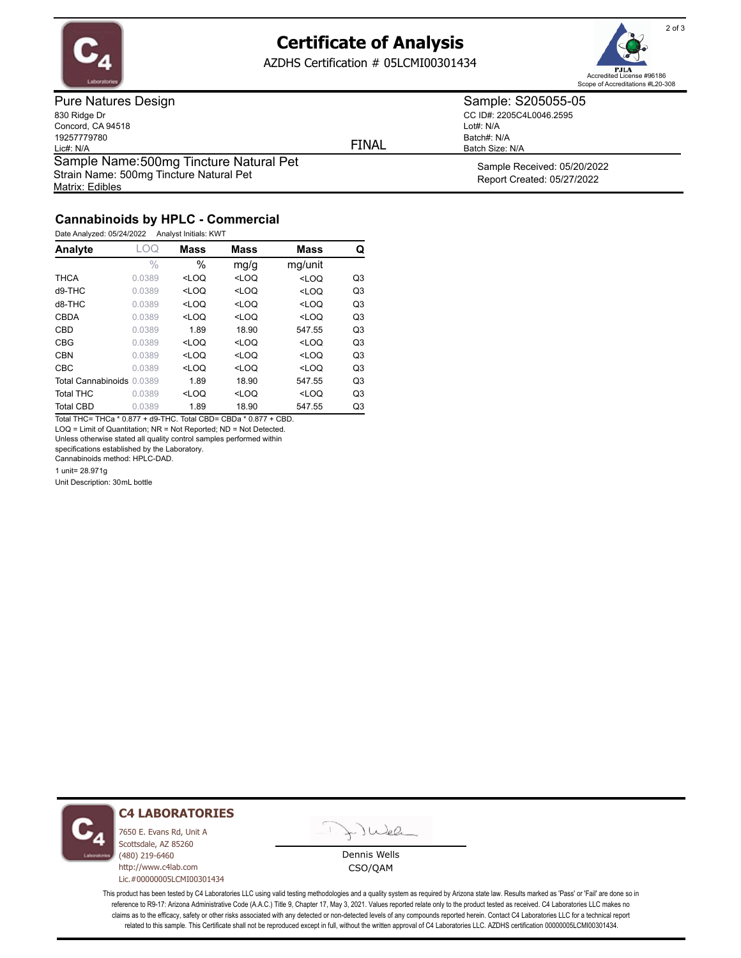

# **Certificate of Analysis**

AZDHS Certification # 05LCMI00301434



Pure Natures Design 830 Ridge Dr Concord, CA 94518 19257779780 Lic#: N/A Matrix: Edibles Sample Name: 500mg Tincture Natural Pet Strain Name: 500mg Tincture Natural Pet

FINAL

CC ID#: 2205C4L0046.2595 Lot#: N/A Batch#: N/A

Batch Size: N/A

Sample: S205055-05

Sample Received: 05/20/2022 Report Created: 05/27/2022

### **Cannabinoids by HPLC - Commercial**

Date Analyzed: 05/24/2022 Analyst Initials: KWT

| Analyte                   | LOQ           | <b>Mass</b> | <b>Mass</b> | <b>Mass</b> | Q              |
|---------------------------|---------------|-------------|-------------|-------------|----------------|
|                           | $\frac{0}{0}$ | $\%$        | mg/g        | mg/unit     |                |
| <b>THCA</b>               | 0.0389        | $<$ LOQ     | $<$ LOQ     | $<$ LOQ     | Q3             |
| $d9-THC$                  | 0.0389        | $<$ LOQ     | $<$ LOQ     | $<$ LOQ     | Q <sub>3</sub> |
| d8-THC                    | 0.0389        | $<$ LOQ     | $<$ LOQ     | $<$ LOQ     | Q <sub>3</sub> |
| CBDA                      | 0.0389        | $<$ LOO     | $<$ LOQ     | $<$ LOQ     | Q <sub>3</sub> |
| <b>CBD</b>                | 0.0389        | 1.89        | 18.90       | 547.55      | Q <sub>3</sub> |
| <b>CBG</b>                | 0.0389        | $<$ LOQ     | $<$ LOQ     | $<$ LOQ     | Q <sub>3</sub> |
| <b>CBN</b>                | 0.0389        | $<$ LOQ     | $<$ LOQ     | $<$ LOQ     | Q <sub>3</sub> |
| <b>CBC</b>                | 0.0389        | $<$ LOQ     | $<$ LOQ     | $<$ LOQ     | Q <sub>3</sub> |
| Total Cannabinoids 0.0389 |               | 1.89        | 18.90       | 547.55      | Q <sub>3</sub> |
| <b>Total THC</b>          | 0.0389        | $<$ LOQ     | $<$ LOQ     | $<$ LOQ     | Q <sub>3</sub> |
| <b>Total CBD</b>          | 0.0389        | 1.89        | 18.90       | 547.55      | Q3             |

Total THC= THCa \* 0.877 + d9-THC. Total CBD= CBDa \* 0.877 + CBD. LOQ = Limit of Quantitation; NR = Not Reported; ND = Not Detected.

Unless otherwise stated all quality control samples performed within

specifications established by the Laboratory.

Cannabinoids method: HPLC-DAD.

1 unit= 28.971g

Unit Description: 30mL bottle



### **C4 LABORATORIES**

7650 E. Evans Rd, Unit A Scottsdale, AZ 85260 (480) 219-6460 http://www.c4lab.com Lic.#00000005LCMI00301434

- JWel

Dennis Wells CSO/QAM

This product has been tested by C4 Laboratories LLC using valid testing methodologies and a quality system as required by Arizona state law. Results marked as 'Pass' or 'Fail' are done so in reference to R9-17: Arizona Administrative Code (A.A.C.) Title 9, Chapter 17, May 3, 2021. Values reported relate only to the product tested as received. C4 Laboratories LLC makes no claims as to the efficacy, safety or other risks associated with any detected or non-detected levels of any compounds reported herein. Contact C4 Laboratories LLC for a technical report related to this sample. This Certificate shall not be reproduced except in full, without the written approval of C4 Laboratories LLC. AZDHS certification 00000005LCMI00301434.

2 of 3